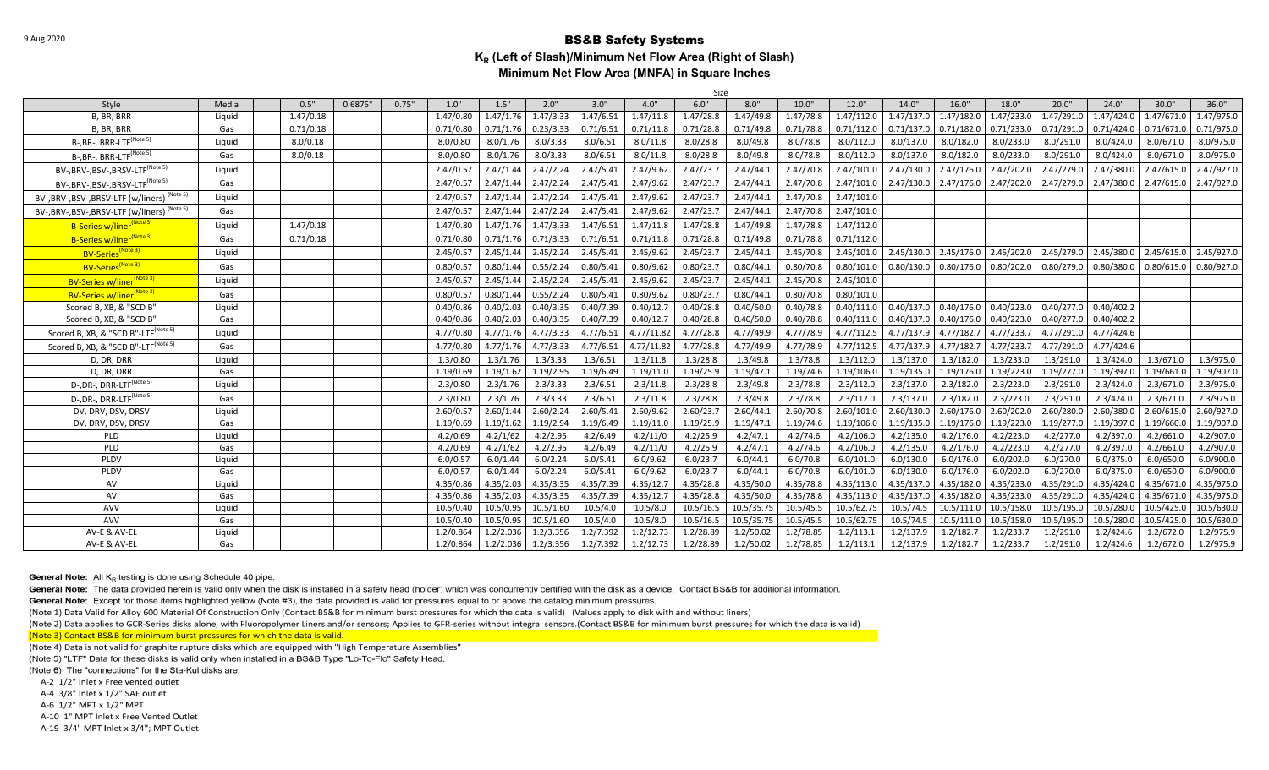|                                                          |        |           |         |       |           |           |           |           |            | Size      |            |           |            |                                    |                           |            |            |            |            |            |
|----------------------------------------------------------|--------|-----------|---------|-------|-----------|-----------|-----------|-----------|------------|-----------|------------|-----------|------------|------------------------------------|---------------------------|------------|------------|------------|------------|------------|
| Style                                                    | Media  | 0.5"      | 0.6875" | 0.75" | 1.0"      | 1.5"      | 2.0"      | 3.0"      | 4.0"       | 6.0"      | 8.0"       | 10.0"     | 12.0"      | 14.0"                              | 16.0"                     | 18.0"      | 20.0"      | 24.0"      | 30.0"      | 36.0"      |
| B, BR, BRR                                               | Liquid | 1.47/0.18 |         |       | 1.47/0.80 | 1.47/1.76 | 1.47/3.33 | 1.47/6.51 | 1.47/11.8  | 1.47/28.8 | 1.47/49.8  | 1.47/78.8 | 1.47/112.0 | 1.47/137.0                         | 1.47/182.0                | 1.47/233.0 | 1.47/291.0 | 1.47/424.0 | 1.47/671.0 | 1.47/975.0 |
| B, BR, BRR                                               | Gas    | 0.71/0.18 |         |       | 0.71/0.80 | 0.71/1.76 | 0.23/3.33 | 0.71/6.51 | 0.71/11.8  | 0.71/28.8 | 0.71/49.8  | 0.71/78.8 | 0.71/112.0 | 0.71/137.0                         | 0.71/182.0                | 0.71/233.0 | 0.71/291.0 | 0.71/424.0 | 0.71/671.0 | 0.71/975.0 |
| $B$ -, BR-, BRR-LTF <sup>(Note 5)</sup>                  | Liquid | 8.0/0.18  |         |       | 8.0/0.80  | 8.0/1.76  | 8.0/3.33  | 8.0/6.51  | 8.0/11.8   | 8.0/28.8  | 8.0/49.8   | 8.0/78.8  | 8.0/112.0  | 8.0/137.0                          | 8.0/182.0                 | 8.0/233.0  | 8.0/291.0  | 8.0/424.0  | 8.0/671.0  | 8.0/975.0  |
| B-, BR-, BRR-LTF <sup>(Note 5)</sup>                     | Gas    | 8.0/0.18  |         |       | 8.0/0.80  | 8.0/1.76  | 8.0/3.33  | 8.0/6.51  | 8.0/11.8   | 8.0/28.8  | 8.0/49.8   | 8.0/78.8  | 8.0/112.0  | 8.0/137.0                          | 8.0/182.0                 | 8.0/233.0  | 8.0/291.0  | 8.0/424.0  | 8.0/671.0  | 8.0/975.0  |
| BV-, BRV-, BSV-, BRSV-LTF <sup>(Note 5)</sup>            | Liquid |           |         |       | 2.47/0.57 | 2.47/1.44 | 2.47/2.24 | 2.47/5.41 | 2.47/9.62  | 2.47/23.7 | 2.47/44.1  | 2.47/70.8 | 2.47/101.0 | 2.47/130.0                         | 2.47/176.0                | 2.47/202.0 | 2.47/279.0 | 2.47/380.0 | 2.47/615.0 | 2.47/927.0 |
| BV-, BRV-, BSV-, BRSV-LTF <sup>(Note 5)</sup>            | Gas    |           |         |       | 2.47/0.57 | 2.47/1.44 | 2.47/2.24 | 2.47/5.41 | 2.47/9.62  | 2.47/23.7 | 2.47/44.1  | 2.47/70.8 | 2.47/101.0 | 2.47/130.0                         | 2.47/176.0                | 2.47/202.0 | 2.47/279.0 | 2.47/380.0 | 2.47/615.0 | 2.47/927.0 |
| BV-, BRV-, BSV-, BRSV-LTF (w/liners) <sup>(Note 5)</sup> | Liquid |           |         |       | 2.47/0.57 | 2.47/1.44 | 2.47/2.24 | 2.47/5.41 | 2.47/9.62  | 2.47/23.7 | 2.47/44.1  | 2.47/70.8 | 2.47/101.0 |                                    |                           |            |            |            |            |            |
| (Note 5)<br>BV-, BRV-, BSV-, BRSV-LTF (w/liners)         | Gas    |           |         |       | 2.47/0.57 | 2.47/1.44 | 2.47/2.24 | 2.47/5.41 | 2.47/9.62  | 2.47/23.7 | 2.47/44.1  | 2.47/70.8 | 2.47/101.0 |                                    |                           |            |            |            |            |            |
| B-Series w/liner <sup>(Note 3)</sup>                     | Liquid | 1.47/0.18 |         |       | 1.47/0.80 | 1.47/1.76 | 1.47/3.33 | 1.47/6.51 | 1.47/11.8  | 1.47/28.8 | 1.47/49.8  | 1.47/78.8 | 1.47/112.0 |                                    |                           |            |            |            |            |            |
| B-Series w/liner <sup>(Note 3)</sup>                     | Gas    | 0.71/0.18 |         |       | 0.71/0.80 | 0.71/1.76 | 0.71/3.33 | 0.71/6.51 | 0.71/11.8  | 0.71/28.8 | 0.71/49.8  | 0.71/78.8 | 0.71/112.0 |                                    |                           |            |            |            |            |            |
| BV-Series <sup>(Note 3)</sup>                            | Liquid |           |         |       | 2.45/0.57 | 2.45/1.44 | 2.45/2.24 | 2.45/5.41 | 2.45/9.62  | 2.45/23.7 | 2.45/44.1  | 2.45/70.8 | 2.45/101.0 | 2.45/130.0                         | 2.45/176.0                | 2.45/202.0 | 2.45/279.0 | 2.45/380.0 | 2.45/615.0 | 2.45/927.0 |
| BV-Series <sup>(Note 3)</sup>                            | Gas    |           |         |       | 0.80/0.57 | 0.80/1.44 | 0.55/2.24 | 0.80/5.41 | 0.80/9.62  | 0.80/23.7 | 0.80/44.1  | 0.80/70.8 | 0.80/101.0 | 0.80/130.0                         | 0.80/176.0                | 0.80/202.0 | 0.80/279.0 | 0.80/380.0 | 0.80/615.0 | 0.80/927.0 |
| BV-Series w/liner <sup>(Note 3)</sup>                    | Liquid |           |         |       | 2.45/0.57 | 2.45/1.44 | 2.45/2.24 | 2.45/5.41 | 2.45/9.62  | 2.45/23.7 | 2.45/44.1  | 2.45/70.8 | 2.45/101.0 |                                    |                           |            |            |            |            |            |
| BV-Series w/liner <sup>(Note 3)</sup>                    | Gas    |           |         |       | 0.80/0.57 | 0.80/1.44 | 0.55/2.24 | 0.80/5.41 | 0.80/9.62  | 0.80/23.7 | 0.80/44.1  | 0.80/70.8 | 0.80/101.0 |                                    |                           |            |            |            |            |            |
| Scored B, XB, & "SCD B"                                  | Liquid |           |         |       | 0.40/0.86 | 0.40/2.03 | 0.40/3.35 | 0.40/7.39 | 0.40/12.7  | 0.40/28.8 | 0.40/50.0  | 0.40/78.8 |            | $0.40/111.0$ 0.40/137.0 0.40/176.0 |                           | 0.40/223.0 | 0.40/277.0 | 0.40/402.2 |            |            |
| Scored B, XB, & "SCD B"                                  | Gas    |           |         |       | 0.40/0.86 | 0.40/2.03 | 0.40/3.35 | 0.40/7.39 | 0.40/12.7  | 0.40/28.8 | 0.40/50.0  | 0.40/78.8 | 0.40/111.0 |                                    | $0.40/137.0$ $0.40/176.0$ | 0.40/223.0 | 0.40/277.0 | 0.40/402.2 |            |            |
| Scored B, XB, & "SCD B"-LTF <sup>(Note 5)</sup>          | Liguid |           |         |       | 4.77/0.80 | 4.77/1.76 | 4.77/3.33 | 4.77/6.51 | 4.77/11.82 | 4.77/28.8 | 4.77/49.9  | 4.77/78.9 | 4.77/112.5 | 4.77/137.9                         | 4.77/182.7                | 4.77/233.7 | 4.77/291.0 | 4.77/424.6 |            |            |
| Scored B, XB, & "SCD B"-LTF <sup>(Note 5)</sup>          | Gas    |           |         |       | 4.77/0.80 | 4.77/1.76 | 4.77/3.33 | 4.77/6.51 | 4.77/11.82 | 4.77/28.8 | 4.77/49.9  | 4.77/78.9 | 4.77/112.5 | 4.77/137.9                         | 4.77/182.7                | 4.77/233.7 | 4.77/291.0 | 4.77/424.6 |            |            |
| D, DR, DRR                                               | Liquid |           |         |       | 1.3/0.80  | 1.3/1.76  | 1.3/3.33  | 1.3/6.51  | 1.3/11.8   | 1.3/28.8  | 1.3/49.8   | 1.3/78.8  | 1.3/112.0  | 1.3/137.0                          | 1.3/182.0                 | 1.3/233.0  | 1.3/291.0  | 1.3/424.0  | 1.3/671.0  | 1.3/975.0  |
| D, DR, DRR                                               | Gas    |           |         |       | 1.19/0.69 | 1.19/1.62 | 1.19/2.95 | 1.19/6.49 | 1.19/11.0  | 1.19/25.9 | 1.19/47.1  | 1.19/74.6 | 1.19/106.0 | 1.19/135.0                         | 1.19/176.0                | 1.19/223.0 | 1.19/277.0 | 1.19/397.0 | 1.19/661.0 | 1.19/907.0 |
| D-, DR-, DRR-LTF <sup>(Note 5)</sup>                     | Liquid |           |         |       | 2.3/0.80  | 2.3/1.76  | 2.3/3.33  | 2.3/6.51  | 2.3/11.8   | 2.3/28.8  | 2.3/49.8   | 2.3/78.8  | 2.3/112.0  | 2.3/137.0                          | 2.3/182.0                 | 2.3/223.0  | 2.3/291.0  | 2.3/424.0  | 2.3/671.0  | 2.3/975.0  |
| D-, DR-, DRR-LTF <sup>(Note 5)</sup>                     | Gas    |           |         |       | 2.3/0.80  | 2.3/1.76  | 2.3/3.33  | 2.3/6.51  | 2.3/11.8   | 2.3/28.8  | 2.3/49.8   | 2.3/78.8  | 2.3/112.0  | 2.3/137.0                          | 2.3/182.0                 | 2.3/223.0  | 2.3/291.0  | 2.3/424.0  | 2.3/671.0  | 2.3/975.0  |
| DV, DRV, DSV, DRSV                                       | Liquid |           |         |       | 2.60/0.57 | 2.60/1.44 | 2.60/2.24 | 2.60/5.41 | 2.60/9.62  | 2.60/23.7 | 2.60/44.1  | 2.60/70.8 | 2.60/101.0 | 2.60/130.0                         | 2.60/176.0                | 2.60/202.0 | 2.60/280.0 | 2.60/380.0 | 2.60/615.0 | 2.60/927.0 |
| DV, DRV, DSV, DRSV                                       | Gas    |           |         |       | 1.19/0.69 | 1.19/1.62 | 1.19/2.94 | 1.19/6.49 | 1.19/11.0  | 1.19/25.9 | 1.19/47.1  | 1.19/74.6 | 1.19/106.0 | 1.19/135.0                         | 1.19/176.0                | 1.19/223.0 | 1.19/277.0 | 1.19/397.0 | 1.19/660.0 | 1.19/907.0 |
| PLD                                                      | Liquid |           |         |       | 4.2/0.69  | 4.2/1/62  | 4.2/2.95  | 4.2/6.49  | 4.2/11/0   | 4.2/25.9  | 4.2/47.1   | 4.2/74.6  | 4.2/106.0  | 4.2/135.0                          | 4.2/176.0                 | 4.2/223.0  | 4.2/277.0  | 4.2/397.0  | 4.2/661.0  | 4.2/907.0  |
| PLD                                                      | Gas    |           |         |       | 4.2/0.69  | 4.2/1/62  | 4.2/2.95  | 4.2/6.49  | 4.2/11/0   | 4.2/25.9  | 4.2/47.1   | 4.2/74.6  | 4.2/106.0  | 4.2/135.0                          | 4.2/176.0                 | 4.2/223.0  | 4.2/277.0  | 4.2/397.0  | 4.2/661.0  | 4.2/907.0  |
| PLDV                                                     | Liquid |           |         |       | 6.0/0.57  | 6.0/1.44  | 6.0/2.24  | 6.0/5.41  | 6.0/9.62   | 6.0/23.7  | 6.0/44.1   | 6.0/70.8  | 6.0/101.0  | 6.0/130.0                          | 6.0/176.0                 | 6.0/202.0  | 6.0/270.0  | 6.0/375.0  | 6.0/650.0  | 6.0/900.0  |
| PLDV                                                     | Gas    |           |         |       | 6.0/0.57  | 6.0/1.44  | 6.0/2.24  | 6.0/5.41  | 6.0/9.62   | 6.0/23.7  | 6.0/44.1   | 6.0/70.8  | 6.0/101.0  | 6.0/130.0                          | 6.0/176.0                 | 6.0/202.0  | 6.0/270.0  | 6.0/375.0  | 6.0/650.0  | 6.0/900.0  |
| AV                                                       | Liquid |           |         |       | 4.35/0.86 | 4.35/2.03 | 4.35/3.35 | 4.35/7.39 | 4.35/12.7  | 4.35/28.8 | 4.35/50.0  | 4.35/78.8 | 4.35/113.0 | 4.35/137.0                         | 4.35/182.0                | 4.35/233.0 | 4.35/291.0 | 4.35/424.0 | 4.35/671.0 | 4.35/975.0 |
| AV                                                       | Gas    |           |         |       | 4.35/0.86 | 4.35/2.03 | 4.35/3.35 | 4.35/7.39 | 4.35/12.7  | 4.35/28.8 | 4.35/50.0  | 4.35/78.8 | 4.35/113.0 | 4.35/137.0                         | 4.35/182.0                | 4.35/233.0 | 4.35/291.0 | 4.35/424.0 | 4.35/671.0 | 4.35/975.0 |
| AVV                                                      | Liquid |           |         |       | 10.5/0.40 | 10.5/0.95 | 10.5/1.60 | 10.5/4.0  | 10.5/8.0   | 10.5/16.5 | 10.5/35.75 | 10.5/45.5 | 10.5/62.75 | 10.5/74.5                          | 10.5/111.0                | 10.5/158.0 | 10.5/195.0 | 10.5/280.0 | 10.5/425.0 | 10.5/630.0 |
| AVV                                                      | Gas    |           |         |       | 10.5/0.40 | 10.5/0.95 | 10.5/1.60 | 10.5/4.0  | 10.5/8.0   | 10.5/16.5 | 10.5/35.75 | 10.5/45.5 | 10.5/62.75 | 10.5/74.5                          | 10.5/111.0                | 10.5/158.0 | 10.5/195.0 | 10.5/280.0 | 10.5/425.0 | 10.5/630.0 |
| AV-E & AV-EL                                             | Liquid |           |         |       | 1.2/0.864 | 1.2/2.036 | 1.2/3.356 | 1.2/7.392 | 1.2/12.73  | 1.2/28.89 | 1.2/50.02  | 1.2/78.85 | 1.2/113.1  | 1.2/137.9                          | 1.2/182.7                 | 1.2/233.7  | 1.2/291.0  | 1.2/424.6  | 1.2/672.0  | 1.2/975.9  |
| AV-E & AV-EL                                             | Gas    |           |         |       | 1.2/0.864 | 1.2/2.036 | 1.2/3.356 | 1.2/7.392 | 1.2/12.73  | 1.2/28.89 | 1.2/50.02  | 1.2/78.85 | 1.2/113.1  | 1.2/137.9                          | 1.2/182.7                 | 1.2/233.7  | 1.2/291.0  | 1.2/424.6  | 1.2/672.0  | 1.2/975.9  |

**General Note:** All  $K_R$  testing is done using Schedule 40 pipe.

General Note: The data provided herein is valid only when the disk is installed in a safety head (holder) which was concurrently certified with the disk as a device. Contact BS&B for additional information.

General Note: Except for those items highlighted yellow (Note #3), the data provided is valid for pressures equal to or above the catalog minimum pressures.

(Note 1) Data Valid for Alloy 600 Material Of Construction Only (Contact BS&B for minimum burst pressures for which the data is valid) (Values apply to disk with and without liners)

(Note 2) Data applies to GCR-Series disks alone, with Fluoropolymer Liners and/or sensors; Applies to GFR-series without integral sensors.(Contact BS&B for minimum burst pressures for which the data is valid)

(Note 3) Contact BS&B for minimum burst pressures for which the data is valid.

(Note 4) Data is not valid for graphite rupture disks which are equipped with "High Temperature Assemblies"

(Note 5) "LTF" Data for these disks is valid only when installed in a BS&B Type "Lo-To-Flo" Safety Head.

(Note 6) The "connections" for the Sta-Kul disks are:

A-2 1/2" Inlet x Free vented outlet

A-4 3/8" Inlet x 1/2" SAE outlet

A-6 1/2" MPT x 1/2" MPT

A-10 1" MPT Inlet x Free Vented Outlet

A-19 3/4" MPT Inlet x 3/4"; MPT Outlet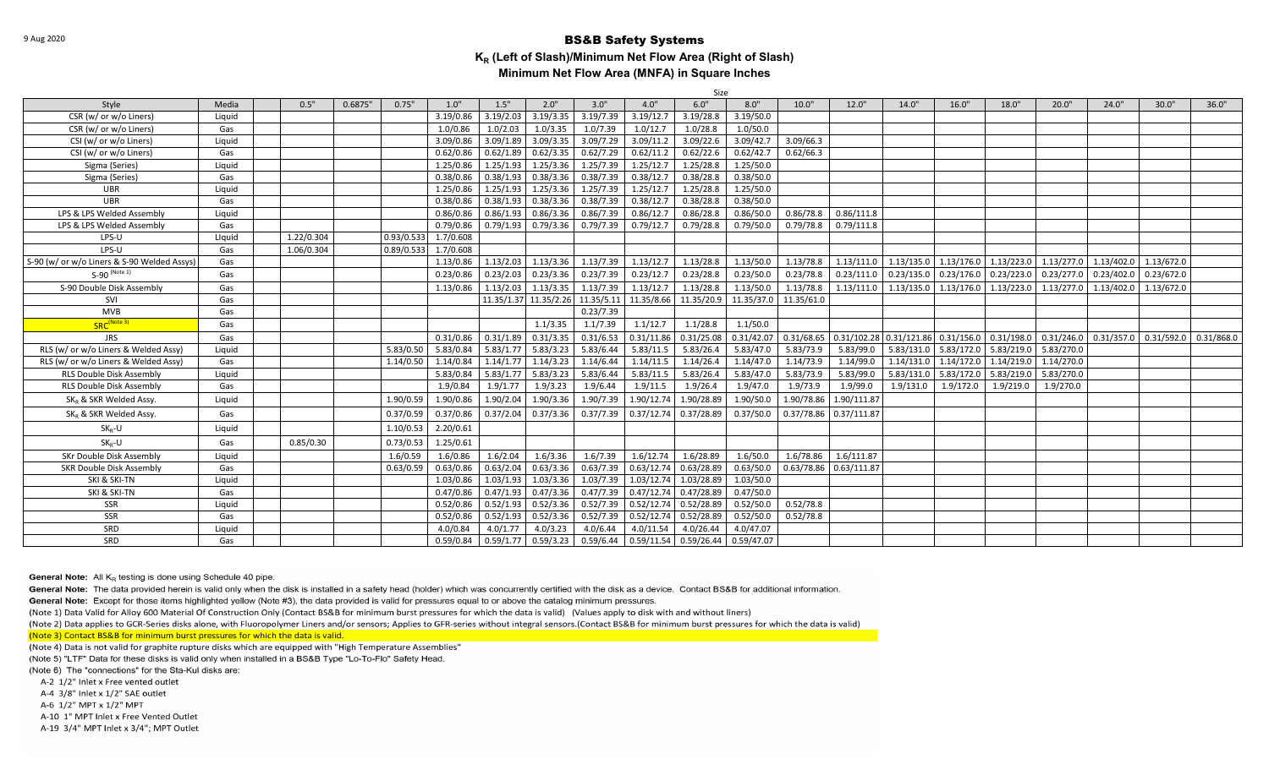| Size                                        |        |            |         |                         |  |            |           |           |                                  |            |            |            |                                                                                     |                                                        |                       |                         |            |            |                         |            |
|---------------------------------------------|--------|------------|---------|-------------------------|--|------------|-----------|-----------|----------------------------------|------------|------------|------------|-------------------------------------------------------------------------------------|--------------------------------------------------------|-----------------------|-------------------------|------------|------------|-------------------------|------------|
| Style                                       | Media  | 0.5"       | 0.6875" | 0.75"<br>1.0"           |  | 1.5"       | 2.0"      | 3.0"      | 4.0"                             | 6.0"       | 8.0"       | 10.0"      | 12.0"                                                                               | 14.0"                                                  | 16.0"                 | 18.0"                   | 20.0"      | 24.0"      | 30.0"                   | 36.0"      |
| CSR (w/ or w/o Liners)                      | Liquid |            |         | 3.19/0.86               |  | 3.19/2.03  | 3.19/3.35 | 3.19/7.39 | 3.19/12.7                        | 3.19/28.8  | 3.19/50.0  |            |                                                                                     |                                                        |                       |                         |            |            |                         |            |
| CSR (w/ or w/o Liners)                      | Gas    |            |         | 1.0/0.86                |  | 1.0/2.03   | 1.0/3.35  | 1.0/7.39  | 1.0/12.7                         | 1.0/28.8   | 1.0/50.0   |            |                                                                                     |                                                        |                       |                         |            |            |                         |            |
| CSI (w/ or w/o Liners)                      | Liquid |            |         | 3.09/0.86               |  | 3.09/1.89  | 3.09/3.35 | 3.09/7.29 | 3.09/11.2                        | 3.09/22.6  | 3.09/42.7  | 3.09/66.3  |                                                                                     |                                                        |                       |                         |            |            |                         |            |
| CSI (w/ or w/o Liners)                      | Gas    |            |         | 0.62/0.86               |  | 0.62/1.89  | 0.62/3.35 | 0.62/7.29 | 0.62/11.2                        | 0.62/22.6  | 0.62/42.7  | 0.62/66.3  |                                                                                     |                                                        |                       |                         |            |            |                         |            |
| Sigma (Series)                              | Liauid |            |         | 1.25/0.86               |  | 1.25/1.93  | 1.25/3.36 | 1.25/7.39 | 1.25/12.7                        | 1.25/28.8  | 1.25/50.0  |            |                                                                                     |                                                        |                       |                         |            |            |                         |            |
| Sigma (Series)                              | Gas    |            |         | 0.38/0.86               |  | 0.38/1.93  | 0.38/3.36 | 0.38/7.39 | 0.38/12.7                        | 0.38/28.8  | 0.38/50.0  |            |                                                                                     |                                                        |                       |                         |            |            |                         |            |
| <b>UBR</b>                                  | Liauid |            |         | 1.25/0.86               |  | 1.25/1.93  | 1.25/3.36 | 1.25/7.39 | 1.25/12.7                        | 1.25/28.8  | 1.25/50.0  |            |                                                                                     |                                                        |                       |                         |            |            |                         |            |
| <b>UBR</b>                                  | Gas    |            |         | 0.38/0.86               |  | 0.38/1.93  | 0.38/3.36 | 0.38/7.39 | 0.38/12.7                        | 0.38/28.8  | 0.38/50.0  |            |                                                                                     |                                                        |                       |                         |            |            |                         |            |
| LPS & LPS Welded Assembly                   | Liauid |            |         | 0.86/0.86               |  | 0.86/1.93  | 0.86/3.36 | 0.86/7.39 | 0.86/12.7                        | 0.86/28.8  | 0.86/50.0  | 0.86/78.8  | 0.86/111.8                                                                          |                                                        |                       |                         |            |            |                         |            |
| LPS & LPS Welded Assembly                   | Gas    |            |         | 0.79/0.86               |  | 0.79/1.93  | 0.79/3.36 | 0.79/7.39 | 0.79/12.7                        | 0.79/28.8  | 0.79/50.0  | 0.79/78.8  | 0.79/111.8                                                                          |                                                        |                       |                         |            |            |                         |            |
| LPS-U                                       | Llquid | 1.22/0.304 |         | 0.93/0.533<br>1.7/0.608 |  |            |           |           |                                  |            |            |            |                                                                                     |                                                        |                       |                         |            |            |                         |            |
| LPS-U                                       | Gas    | 1.06/0.304 |         | 0.89/0.533<br>1.7/0.608 |  |            |           |           |                                  |            |            |            |                                                                                     |                                                        |                       |                         |            |            |                         |            |
| S-90 (w/ or w/o Liners & S-90 Welded Assys) | Gas    |            |         | 1.13/0.86               |  | 1.13/2.03  | 1.13/3.36 | 1.13/7.39 | 1.13/12.7                        | 1.13/28.8  | 1.13/50.0  | 1.13/78.8  |                                                                                     | 1.13/111.0 1.13/135.0 1.13/176.0 1.13/223.0 1.13/277.0 |                       |                         |            |            | 1.13/402.0 1.13/672.0   |            |
| $S-90$ (Note 1)                             | Gas    |            |         | 0.23/0.86               |  | 0.23/2.03  | 0.23/3.36 | 0.23/7.39 | 0.23/12.7                        | 0.23/28.8  | 0.23/50.0  | 0.23/78.8  | 0.23/111.0                                                                          | $0.23/135.0$ 0.23/176.0                                |                       | 0.23/223.0              | 0.23/277.0 | 0.23/402.0 | 0.23/672.0              |            |
| S-90 Double Disk Assembly                   | Gas    |            |         | 1.13/0.86               |  | 1.13/2.03  | 1.13/3.35 | 1.13/7.39 | 1.13/12.7                        | 1.13/28.8  | 1.13/50.0  | 1.13/78.8  |                                                                                     | $1.13/111.0$   $1.13/135.0$   $1.13/176.0$             |                       | $1.13/223.0$ 1.13/277.0 |            |            | 1.13/402.0 1.13/672.0   |            |
| SVI                                         | Gas    |            |         |                         |  | 11.35/1.37 |           |           | 11.35/2.26 11.35/5.11 11.35/8.66 | 11.35/20.9 | 11.35/37.0 | 11.35/61.0 |                                                                                     |                                                        |                       |                         |            |            |                         |            |
| <b>MVB</b>                                  | Gas    |            |         |                         |  |            |           | 0.23/7.39 |                                  |            |            |            |                                                                                     |                                                        |                       |                         |            |            |                         |            |
| SRC <sup>(Note 3)</sup>                     | Gas    |            |         |                         |  |            | 1.1/3.35  | 1.1/7.39  | 1.1/12.7                         | 1.1/28.8   | 1.1/50.0   |            |                                                                                     |                                                        |                       |                         |            |            |                         |            |
| <b>JRS</b>                                  | Gas    |            |         | 0.31/0.86               |  | 0.31/1.89  | 0.31/3.35 | 0.31/6.53 | 0.31/11.86                       | 0.31/25.08 | 0.31/42.07 |            | $\vert$ 0.31/68.65 $\vert$ 0.31/102.28 0.31/121.86 0.31/156.0 0.31/198.0 0.31/246.0 |                                                        |                       |                         |            |            | $0.31/357.0$ 0.31/592.0 | 0.31/868.0 |
| RLS (w/ or w/o Liners & Welded Assy)        | Liquid |            |         | 5.83/0.50<br>5.83/0.84  |  | 5.83/1.77  | 5.83/3.23 | 5.83/6.44 | 5.83/11.5                        | 5.83/26.4  | 5.83/47.0  | 5.83/73.9  | 5.83/99.0                                                                           | 5.83/131.0                                             | 5.83/172.0            | 5.83/219.0              | 5.83/270.0 |            |                         |            |
| RLS (w/ or w/o Liners & Welded Assy)        | Gas    |            |         | 1.14/0.50<br>1.14/0.84  |  | 1.14/1.77  | 1.14/3.23 | 1.14/6.44 | 1.14/11.5                        | 1.14/26.4  | 1.14/47.0  | 1.14/73.9  | 1.14/99.0                                                                           | 1.14/131.0                                             | 1.14/172.0            | 1.14/219.0 1.14/270.0   |            |            |                         |            |
| <b>RLS Double Disk Assembly</b>             | Liguid |            |         | 5.83/0.84               |  | 5.83/1.77  | 5.83/3.23 | 5.83/6.44 | 5.83/11.5                        | 5.83/26.4  | 5.83/47.0  | 5.83/73.9  | 5.83/99.0                                                                           |                                                        | 5.83/131.0 5.83/172.0 | 5.83/219.0 5.83/270.0   |            |            |                         |            |
| RLS Double Disk Assembly                    | Gas    |            |         | 1.9/0.84                |  | 1.9/1.77   | 1.9/3.23  | 1.9/6.44  | 1.9/11.5                         | 1.9/26.4   | 1.9/47.0   | 1.9/73.9   | 1.9/99.0                                                                            | 1.9/131.0                                              | 1.9/172.0             | 1.9/219.0               | 1.9/270.0  |            |                         |            |
| SK. & SKR Welded Assy.                      | Liguid |            |         | 1.90/0.59<br>1.90/0.86  |  | 1.90/2.04  | 1.90/3.36 | 1.90/7.39 | 1.90/12.74                       | 1.90/28.89 | 1.90/50.0  |            | 1.90/78.86 1.90/111.87                                                              |                                                        |                       |                         |            |            |                         |            |
| SKR & SKR Welded Assy.                      | Gas    |            |         | 0.37/0.59<br>0.37/0.86  |  | 0.37/2.04  | 0.37/3.36 | 0.37/7.39 | 0.37/12.74                       | 0.37/28.89 | 0.37/50.0  |            | 0.37/78.86 0.37/111.87                                                              |                                                        |                       |                         |            |            |                         |            |
| $SK_{R}$ -U                                 | Liquid |            |         | 2.20/0.61<br>1.10/0.53  |  |            |           |           |                                  |            |            |            |                                                                                     |                                                        |                       |                         |            |            |                         |            |
| $SK_p-U$                                    | Gas    | 0.85/0.30  |         | 0.73/0.53<br>1.25/0.61  |  |            |           |           |                                  |            |            |            |                                                                                     |                                                        |                       |                         |            |            |                         |            |
| SKr Double Disk Assembly                    | Liquid |            |         | 1.6/0.59<br>1.6/0.86    |  | 1.6/2.04   | 1.6/3.36  | 1.6/7.39  | 1.6/12.74                        | 1.6/28.89  | 1.6/50.0   | 1.6/78.86  | 1.6/111.87                                                                          |                                                        |                       |                         |            |            |                         |            |
| <b>SKR Double Disk Assembly</b>             | Gas    |            |         | 0.63/0.59<br>0.63/0.86  |  | 0.63/2.04  | 0.63/3.36 |           | $0.63/7.39$ 0.63/12.74           | 0.63/28.89 | 0.63/50.0  |            | 0.63/78.86 0.63/111.87                                                              |                                                        |                       |                         |            |            |                         |            |
| SKI & SKI-TN                                | Liquid |            |         | 1.03/0.86               |  | 1.03/1.93  | 1.03/3.36 |           | 1.03/7.39 1.03/12.74             | 1.03/28.89 | 1.03/50.0  |            |                                                                                     |                                                        |                       |                         |            |            |                         |            |
| SKI & SKI-TN                                | Gas    |            |         | 0.47/0.86               |  | 0.47/1.93  | 0.47/3.36 |           | $0.47/7.39$ 0.47/12.74           | 0.47/28.89 | 0.47/50.0  |            |                                                                                     |                                                        |                       |                         |            |            |                         |            |
| SSR                                         | Liquid |            |         | 0.52/0.86               |  | 0.52/1.93  | 0.52/3.36 |           | $0.52/7.39$ 0.52/12.74           | 0.52/28.89 | 0.52/50.0  | 0.52/78.8  |                                                                                     |                                                        |                       |                         |            |            |                         |            |
| SSR                                         | Gas    |            |         | 0.52/0.86               |  | 0.52/1.93  | 0.52/3.36 | 0.52/7.39 | 0.52/12.74                       | 0.52/28.89 | 0.52/50.0  | 0.52/78.8  |                                                                                     |                                                        |                       |                         |            |            |                         |            |
| SRD                                         | Liquid |            |         | 4.0/0.84                |  | 4.0/1.77   | 4.0/3.23  | 4.0/6.44  | 4.0/11.54                        | 4.0/26.44  | 4.0/47.07  |            |                                                                                     |                                                        |                       |                         |            |            |                         |            |
| SRD                                         | Gas    |            |         | 0.59/0.84               |  | 0.59/1.77  | 0.59/3.23 | 0.59/6.44 | 0.59/11.54                       | 0.59/26.44 | 0.59/47.07 |            |                                                                                     |                                                        |                       |                         |            |            |                         |            |
|                                             |        |            |         |                         |  |            |           |           |                                  |            |            |            |                                                                                     |                                                        |                       |                         |            |            |                         |            |

**General Note:** All  $K_R$  testing is done using Schedule 40 pipe.

General Note: The data provided herein is valid only when the disk is installed in a safety head (holder) which was concurrently certified with the disk as a device. Contact BS&B for additional information.

General Note: Except for those items highlighted yellow (Note #3), the data provided is valid for pressures equal to or above the catalog minimum pressures.

(Note 1) Data Valid for Alloy 600 Material Of Construction Only (Contact BS&B for minimum burst pressures for which the data is valid) (Values apply to disk with and without liners)

(Note 2) Data applies to GCR-Series disks alone, with Fluoropolymer Liners and/or sensors; Applies to GFR-series without integral sensors.(Contact BS&B for minimum burst pressures for which the data is valid) (Note 3) Contact BS&B for minimum burst pressures for which the data is valid.

(Note 4) Data is not valid for graphite rupture disks which are equipped with "High Temperature Assemblies"

(Note 5) "LTF" Data for these disks is valid only when installed in a BS&B Type "Lo-To-Flo" Safety Head.

(Note 6) The "connections" for the Sta-Kul disks are:

A-2 1/2" Inlet x Free vented outlet

A-4 3/8" Inlet x 1/2" SAE outlet

A-6 1/2" MPT x 1/2" MPT

A-10 1" MPT Inlet x Free Vented Outlet

A-19 3/4" MPT Inlet x 3/4"; MPT Outlet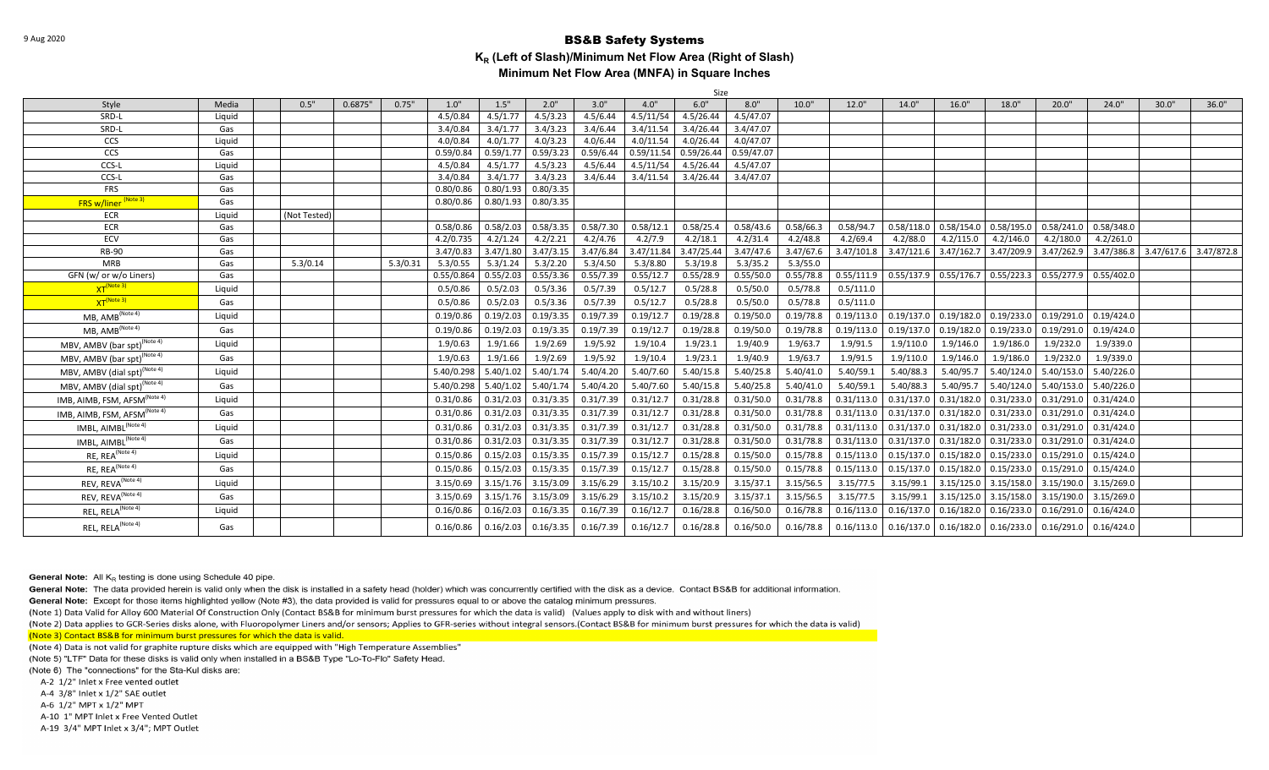|                                          |        |              |                  |            |           |                       |           |            | Size       |            |           |            |                                                                                           |                         |                         |                         |            |                       |       |
|------------------------------------------|--------|--------------|------------------|------------|-----------|-----------------------|-----------|------------|------------|------------|-----------|------------|-------------------------------------------------------------------------------------------|-------------------------|-------------------------|-------------------------|------------|-----------------------|-------|
| Style                                    | Media  | 0.5"         | 0.6875"<br>0.75" | 1.0"       | 1.5"      | 2.0"                  | 3.0"      | 4.0"       | 6.0"       | 8.0"       | 10.0"     | 12.0"      | 14.0"                                                                                     | 16.0"                   | 18.0"                   | 20.0"                   | 24.0"      | 30.0"                 | 36.0" |
| SRD-L                                    | Liquid |              |                  | 4.5/0.84   | 4.5/1.77  | 4.5/3.23              | 4.5/6.44  | 4.5/11/54  | 4.5/26.44  | 4.5/47.07  |           |            |                                                                                           |                         |                         |                         |            |                       |       |
| SRD-L                                    | Gas    |              |                  | 3.4/0.84   | 3.4/1.77  | 3.4/3.23              | 3.4/6.44  | 3.4/11.54  | 3.4/26.44  | 3.4/47.07  |           |            |                                                                                           |                         |                         |                         |            |                       |       |
| CCS                                      | Liquid |              |                  | 4.0/0.84   | 4.0/1.77  | 4.0/3.23              | 4.0/6.44  | 4.0/11.54  | 4.0/26.44  | 4.0/47.07  |           |            |                                                                                           |                         |                         |                         |            |                       |       |
| CCS                                      | Gas    |              |                  | 0.59/0.84  | 0.59/1.77 | 0.59/3.23             | 0.59/6.44 | 0.59/11.54 | 0.59/26.44 | 0.59/47.07 |           |            |                                                                                           |                         |                         |                         |            |                       |       |
| CCS-L                                    | Liquid |              |                  | 4.5/0.84   | 4.5/1.77  | 4.5/3.23              | 4.5/6.44  | 4.5/11/54  | 4.5/26.44  | 4.5/47.07  |           |            |                                                                                           |                         |                         |                         |            |                       |       |
| CCS-L                                    | Gas    |              |                  | 3.4/0.84   | 3.4/1.77  | 3.4/3.23              | 3.4/6.44  | 3.4/11.54  | 3.4/26.44  | 3.4/47.07  |           |            |                                                                                           |                         |                         |                         |            |                       |       |
| <b>FRS</b>                               | Gas    |              |                  | 0.80/0.86  | 0.80/1.93 | 0.80/3.35             |           |            |            |            |           |            |                                                                                           |                         |                         |                         |            |                       |       |
| <b>FRS w/liner (Note 3)</b>              | Gas    |              |                  | 0.80/0.86  | 0.80/1.93 | 0.80/3.35             |           |            |            |            |           |            |                                                                                           |                         |                         |                         |            |                       |       |
| ECR                                      | Liquid | (Not Tested) |                  |            |           |                       |           |            |            |            |           |            |                                                                                           |                         |                         |                         |            |                       |       |
| <b>ECR</b>                               | Gas    |              |                  | 0.58/0.86  | 0.58/2.03 | 0.58/3.35             | 0.58/7.30 | 0.58/12.1  | 0.58/25.4  | 0.58/43.6  | 0.58/66.3 | 0.58/94.7  |                                                                                           | $0.58/118.0$ 0.58/154.0 | 0.58/195.0              | 0.58/241.0              | 0.58/348.0 |                       |       |
| <b>ECV</b>                               | Gas    |              |                  | 4.2/0.735  | 4.2/1.24  | 4.2/2.21              | 4.2/4.76  | 4.2/7.9    | 4.2/18.1   | 4.2/31.4   | 4.2/48.8  | 4.2/69.4   | 4.2/88.0                                                                                  | 4.2/115.0               | 4.2/146.0               | 4.2/180.0               | 4.2/261.0  |                       |       |
| <b>RB-90</b>                             | Gas    |              |                  | 3.47/0.83  | 3.47/1.80 | 3.47/3.15             | 3.47/6.84 | 3.47/11.84 | 3.47/25.44 | 3.47/47.6  | 3.47/67.6 | 3.47/101.8 | 3.47/121.6                                                                                | 3.47/162.7              | 3.47/209.9              | 3.47/262.9              | 3.47/386.8 | 3.47/617.6 3.47/872.8 |       |
| <b>MRB</b>                               | Gas    | 5.3/0.14     | 5.3/0.31         | 5.3/0.55   | 5.3/1.24  | 5.3/2.20              | 5.3/4.50  | 5.3/8.80   | 5.3/19.8   | 5.3/35.2   | 5.3/55.0  |            |                                                                                           |                         |                         |                         |            |                       |       |
| GFN (w/ or w/o Liners)                   | Gas    |              |                  | 0.55/0.864 | 0.55/2.03 | 0.55/3.36             | 0.55/7.39 | 0.55/12.7  | 0.55/28.9  | 0.55/50.0  | 0.55/78.8 |            | $0.55/111.9$ $0.55/137.9$ $0.55/176.7$ $0.55/223.3$ $0.55/277.9$                          |                         |                         |                         | 0.55/402.0 |                       |       |
| XT <sup>(Note 3)</sup>                   | Liquid |              |                  | 0.5/0.86   | 0.5/2.03  | 0.5/3.36              | 0.5/7.39  | 0.5/12.7   | 0.5/28.8   | 0.5/50.0   | 0.5/78.8  | 0.5/111.0  |                                                                                           |                         |                         |                         |            |                       |       |
| XT <sup>(Note 3)</sup>                   | Gas    |              |                  | 0.5/0.86   | 0.5/2.03  | 0.5/3.36              | 0.5/7.39  | 0.5/12.7   | 0.5/28.8   | 0.5/50.0   | 0.5/78.8  | 0.5/111.0  |                                                                                           |                         |                         |                         |            |                       |       |
| MB, AMB <sup>(Note 4)</sup>              | Liquid |              |                  | 0.19/0.86  | 0.19/2.03 | 0.19/3.35             | 0.19/7.39 | 0.19/12.7  | 0.19/28.8  | 0.19/50.0  | 0.19/78.8 |            | $0.19/113.0$ $0.19/137.0$ $0.19/182.0$ $0.19/233.0$ $0.19/291.0$ $0.19/424.0$             |                         |                         |                         |            |                       |       |
| MB, AMB <sup>(Note 4)</sup>              | Gas    |              |                  | 0.19/0.86  | 0.19/2.03 | 0.19/3.35             | 0.19/7.39 | 0.19/12.7  | 0.19/28.8  | 0.19/50.0  | 0.19/78.8 | 0.19/113.0 |                                                                                           | $0.19/137.0$ 0.19/182.0 | 0.19/233.0              | 0.19/291.0              | 0.19/424.0 |                       |       |
| MBV, AMBV (bar spt) <sup>(Note 4)</sup>  | Liquid |              |                  | 1.9/0.63   | 1.9/1.66  | 1.9/2.69              | 1.9/5.92  | 1.9/10.4   | 1.9/23.1   | 1.9/40.9   | 1.9/63.7  | 1.9/91.5   | 1.9/110.0                                                                                 | 1.9/146.0               | 1.9/186.0               | 1.9/232.0               | 1.9/339.0  |                       |       |
| MBV, AMBV (bar spt) <sup>(Note 4)</sup>  | Gas    |              |                  | 1.9/0.63   | 1.9/1.66  | 1.9/2.69              | 1.9/5.92  | 1.9/10.4   | 1.9/23.1   | 1.9/40.9   | 1.9/63.7  | 1.9/91.5   | 1.9/110.0                                                                                 | 1.9/146.0               | 1.9/186.0               | 1.9/232.0               | 1.9/339.0  |                       |       |
| MBV, AMBV (dial spt) <sup>(Note 4)</sup> | Liquid |              |                  | 5.40/0.298 | 5.40/1.02 | 5.40/1.74             | 5.40/4.20 | 5.40/7.60  | 5.40/15.8  | 5.40/25.8  | 5.40/41.0 | 5.40/59.1  | 5.40/88.3                                                                                 | 5.40/95.7               | 5.40/124.0              | 5.40/153.0              | 5.40/226.0 |                       |       |
| MBV, AMBV (dial spt) <sup>(Note 4)</sup> | Gas    |              |                  | 5.40/0.298 | 5.40/1.02 | 5.40/1.74             | 5.40/4.20 | 5.40/7.60  | 5.40/15.8  | 5.40/25.8  | 5.40/41.0 | 5.40/59.3  | 5.40/88.3                                                                                 | 5.40/95.7               | 5.40/124.0              | 5.40/153.0              | 5.40/226.0 |                       |       |
| IMB, AIMB, FSM, AFSM <sup>(Note 4)</sup> | Liquid |              |                  | 0.31/0.86  | 0.31/2.03 | 0.31/3.35             | 0.31/7.39 | 0.31/12.7  | 0.31/28.8  | 0.31/50.0  | 0.31/78.8 | 0.31/113.0 |                                                                                           | $0.31/137.0$ 0.31/182.0 | 0.31/233.0              | $0.31/291.0$ 0.31/424.0 |            |                       |       |
| IMB, AIMB, FSM, AFSM <sup>(Note 4)</sup> | Gas    |              |                  | 0.31/0.86  | 0.31/2.03 | 0.31/3.35             | 0.31/7.39 | 0.31/12.7  | 0.31/28.8  | 0.31/50.0  | 0.31/78.8 | 0.31/113.0 |                                                                                           | $0.31/137.0$ 0.31/182.0 | 0.31/233.0              | 0.31/291.0              | 0.31/424.0 |                       |       |
| IMBL, AIMBL <sup>(Note 4)</sup>          | Liquid |              |                  | 0.31/0.86  | 0.31/2.03 | 0.31/3.35             | 0.31/7.39 | 0.31/12.7  | 0.31/28.8  | 0.31/50.0  | 0.31/78.8 | 0.31/113.0 |                                                                                           | $0.31/137.0$ 0.31/182.0 | 0.31/233.0              | 0.31/291.0              | 0.31/424.0 |                       |       |
| IMBL, AIMBL <sup>(Note 4)</sup>          | Gas    |              |                  | 0.31/0.86  | 0.31/2.03 | 0.31/3.35             | 0.31/7.39 | 0.31/12.7  | 0.31/28.8  | 0.31/50.0  | 0.31/78.8 | 0.31/113.0 | $0.31/137.0$ $0.31/182.0$ $0.31/233.0$                                                    |                         |                         | $0.31/291.0$ 0.31/424.0 |            |                       |       |
| RE, REA <sup>(Note 4)</sup>              | Liquid |              |                  | 0.15/0.86  | 0.15/2.03 | 0.15/3.35             | 0.15/7.39 | 0.15/12.7  | 0.15/28.8  | 0.15/50.0  | 0.15/78.8 | 0.15/113.0 |                                                                                           | $0.15/137.0$ 0.15/182.0 | 0.15/233.0              | 0.15/291.0              | 0.15/424.0 |                       |       |
| RE, REA <sup>(Note 4)</sup>              | Gas    |              |                  | 0.15/0.86  | 0.15/2.03 | 0.15/3.35             | 0.15/7.39 | 0.15/12.7  | 0.15/28.8  | 0.15/50.0  | 0.15/78.8 | 0.15/113.0 | 0.15/137.0                                                                                | 0.15/182.0              | 0.15/233.0              | 0.15/291.0              | 0.15/424.0 |                       |       |
| REV, REVA <sup>(Note 4)</sup>            | Liquid |              |                  | 3.15/0.69  |           | $3.15/1.76$ 3.15/3.09 | 3.15/6.29 | 3.15/10.2  | 3.15/20.9  | 3.15/37.1  | 3.15/56.5 | 3.15/77.5  | 3.15/99.1                                                                                 |                         | $3.15/125.0$ 3.15/158.0 | 3.15/190.0 3.15/269.0   |            |                       |       |
| REV, REVA <sup>(Note 4)</sup>            | Gas    |              |                  | 3.15/0.69  |           | $3.15/1.76$ 3.15/3.09 | 3.15/6.29 | 3.15/10.2  | 3.15/20.9  | 3.15/37.1  | 3.15/56.5 | 3.15/77.5  | 3.15/99.1                                                                                 |                         | $3.15/125.0$ 3.15/158.0 | 3.15/190.0 3.15/269.0   |            |                       |       |
| REL, RELA <sup>(Note 4)</sup>            | Liquid |              |                  | 0.16/0.86  | 0.16/2.03 | 0.16/3.35             | 0.16/7.39 | 0.16/12.7  | 0.16/28.8  | 0.16/50.0  | 0.16/78.8 | 0.16/113.0 | 0.16/137.0                                                                                | 0.16/182.0              | 0.16/233.0              | 0.16/291.0              | 0.16/424.0 |                       |       |
| REL, RELA <sup>(Note 4)</sup>            | Gas    |              |                  | 0.16/0.86  |           | $0.16/2.03$ 0.16/3.35 | 0.16/7.39 | 0.16/12.7  | 0.16/28.8  | 0.16/50.0  | 0.16/78.8 | 0.16/113.0 | $\mid$ 0.16/137.0 $\mid$ 0.16/182.0 $\mid$ 0.16/233.0 $\mid$ 0.16/291.0 $\mid$ 0.16/424.0 |                         |                         |                         |            |                       |       |
|                                          |        |              |                  |            |           |                       |           |            |            |            |           |            |                                                                                           |                         |                         |                         |            |                       |       |

**General Note:** All  $K_R$  testing is done using Schedule 40 pipe.

General Note: The data provided herein is valid only when the disk is installed in a safety head (holder) which was concurrently certified with the disk as a device. Contact BS&B for additional information.

General Note: Except for those items highlighted yellow (Note #3), the data provided is valid for pressures equal to or above the catalog minimum pressures.

(Note 1) Data Valid for Alloy 600 Material Of Construction Only (Contact BS&B for minimum burst pressures for which the data is valid) (Values apply to disk with and without liners)

(Note 2) Data applies to GCR-Series disks alone, with Fluoropolymer Liners and/or sensors; Applies to GFR-series without integral sensors.(Contact BS&B for minimum burst pressures for which the data is valid) (Note 3) Contact BS&B for minimum burst pressures for which the data is valid.

(Note 4) Data is not valid for graphite rupture disks which are equipped with "High Temperature Assemblies"

(Note 5) "LTF" Data for these disks is valid only when installed in a BS&B Type "Lo-To-Flo" Safety Head.

(Note 6) The "connections" for the Sta-Kul disks are:

A-2 1/2" Inlet x Free vented outlet

A-4 3/8" Inlet x 1/2" SAE outlet

A-6 1/2" MPT x 1/2" MPT

A-10 1" MPT Inlet x Free Vented Outlet

A-19 3/4" MPT Inlet x 3/4"; MPT Outlet